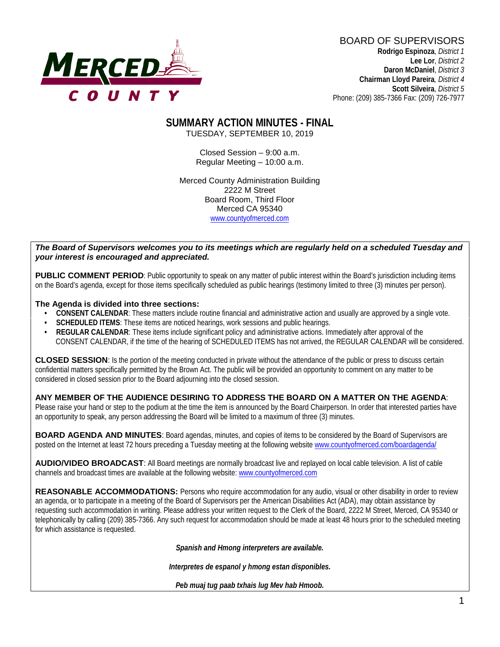

BOARD OF SUPERVISORS **Rodrigo Espinoza**, *District 1*  **Lee Lor**, *District 2*  **Daron McDaniel**, *District 3* **Chairman Lloyd Pareira***, District 4*  **Scott Silveira**, *District 5* Phone: (209) 385-7366 Fax: (209) 726-7977

#### **SUMMARY ACTION MINUTES - FINAL** TUESDAY, SEPTEMBER 10, 2019

Closed Session – 9:00 a.m. Regular Meeting – 10:00 a.m.

Merced County Administration Building 2222 M Street Board Room, Third Floor Merced CA 95340 www.countyofmerced.com

#### *The Board of Supervisors welcomes you to its meetings which are regularly held on a scheduled Tuesday and your interest is encouraged and appreciated.*

**PUBLIC COMMENT PERIOD:** Public opportunity to speak on any matter of public interest within the Board's jurisdiction including items on the Board's agenda, except for those items specifically scheduled as public hearings (testimony limited to three (3) minutes per person).

#### **The Agenda is divided into three sections:**

- **CONSENT CALENDAR**: These matters include routine financial and administrative action and usually are approved by a single vote.
- **SCHEDULED ITEMS:** These items are noticed hearings, work sessions and public hearings.
- **REGULAR CALENDAR**: These items include significant policy and administrative actions. Immediately after approval of the CONSENT CALENDAR, if the time of the hearing of SCHEDULED ITEMS has not arrived, the REGULAR CALENDAR will be considered.

**CLOSED SESSION**: Is the portion of the meeting conducted in private without the attendance of the public or press to discuss certain confidential matters specifically permitted by the Brown Act. The public will be provided an opportunity to comment on any matter to be considered in closed session prior to the Board adjourning into the closed session.

#### **ANY MEMBER OF THE AUDIENCE DESIRING TO ADDRESS THE BOARD ON A MATTER ON THE AGENDA**:

Please raise your hand or step to the podium at the time the item is announced by the Board Chairperson. In order that interested parties have an opportunity to speak, any person addressing the Board will be limited to a maximum of three (3) minutes.

**BOARD AGENDA AND MINUTES:** Board agendas, minutes, and copies of items to be considered by the Board of Supervisors are posted on the Internet at least 72 hours preceding a Tuesday meeting at the following website [www.countyofmerced.com/boardagenda/](http://www.countyofmerced.com/boardagenda/) 

**AUDIO/VIDEO BROADCAST**: All Board meetings are normally broadcast live and replayed on local cable television. A list of cable channels and broadcast times are available at the following website[: www.countyofmerced.com](http://www.countyofmerced.com/)

**REASONABLE ACCOMMODATIONS:** Persons who require accommodation for any audio, visual or other disability in order to review an agenda, or to participate in a meeting of the Board of Supervisors per the American Disabilities Act (ADA), may obtain assistance by requesting such accommodation in writing. Please address your written request to the Clerk of the Board, 2222 M Street, Merced, CA 95340 or telephonically by calling (209) 385-7366. Any such request for accommodation should be made at least 48 hours prior to the scheduled meeting for which assistance is requested.

*Spanish and Hmong interpreters are available.*

*Interpretes de espanol y hmong estan disponibles.*

*Peb muaj tug paab txhais lug Mev hab Hmoob.*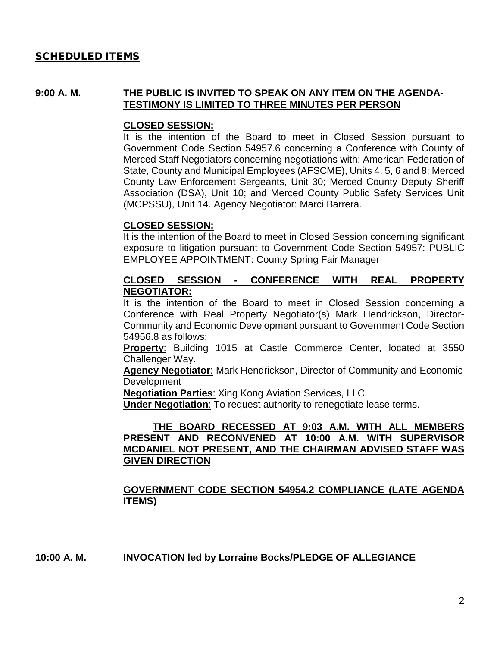#### SCHEDULED ITEMS

#### **9:00 A. M. THE PUBLIC IS INVITED TO SPEAK ON ANY ITEM ON THE AGENDA-TESTIMONY IS LIMITED TO THREE MINUTES PER PERSON**

#### **CLOSED SESSION:**

It is the intention of the Board to meet in Closed Session pursuant to Government Code Section 54957.6 concerning a Conference with County of Merced Staff Negotiators concerning negotiations with: American Federation of State, County and Municipal Employees (AFSCME), Units 4, 5, 6 and 8; Merced County Law Enforcement Sergeants, Unit 30; Merced County Deputy Sheriff Association (DSA), Unit 10; and Merced County Public Safety Services Unit (MCPSSU), Unit 14. Agency Negotiator: Marci Barrera.

#### **CLOSED SESSION:**

It is the intention of the Board to meet in Closed Session concerning significant exposure to litigation pursuant to Government Code Section 54957: PUBLIC EMPLOYEE APPOINTMENT: County Spring Fair Manager

#### **CLOSED SESSION - CONFERENCE WITH REAL PROPERTY NEGOTIATOR:**

It is the intention of the Board to meet in Closed Session concerning a Conference with Real Property Negotiator(s) Mark Hendrickson, Director-Community and Economic Development pursuant to Government Code Section 54956.8 as follows:

**Property**: Building 1015 at Castle Commerce Center, located at 3550 Challenger Way.

**Agency Negotiator**: Mark Hendrickson, Director of Community and Economic Development

**Negotiation Parties**: Xing Kong Aviation Services, LLC.

**Under Negotiation**: To request authority to renegotiate lease terms.

#### **THE BOARD RECESSED AT 9:03 A.M. WITH ALL MEMBERS PRESENT AND RECONVENED AT 10:00 A.M. WITH SUPERVISOR MCDANIEL NOT PRESENT, AND THE CHAIRMAN ADVISED STAFF WAS GIVEN DIRECTION**

#### **GOVERNMENT CODE SECTION 54954.2 COMPLIANCE (LATE AGENDA ITEMS)**

**10:00 A. M. INVOCATION led by Lorraine Bocks/PLEDGE OF ALLEGIANCE**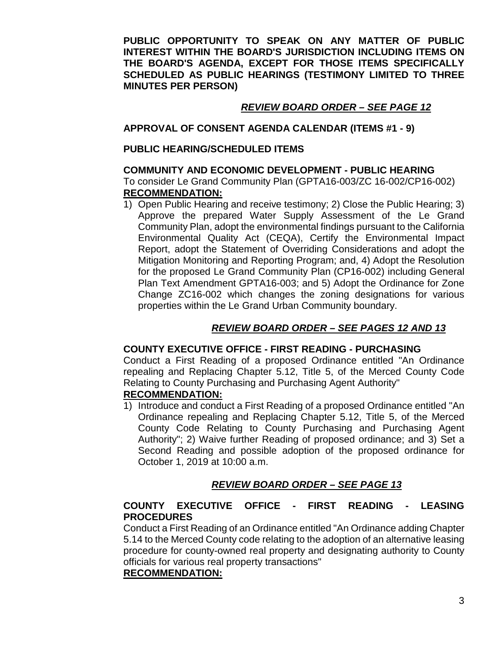**PUBLIC OPPORTUNITY TO SPEAK ON ANY MATTER OF PUBLIC INTEREST WITHIN THE BOARD'S JURISDICTION INCLUDING ITEMS ON THE BOARD'S AGENDA, EXCEPT FOR THOSE ITEMS SPECIFICALLY SCHEDULED AS PUBLIC HEARINGS (TESTIMONY LIMITED TO THREE MINUTES PER PERSON)**

## *REVIEW BOARD ORDER – SEE PAGE 12*

#### **APPROVAL OF CONSENT AGENDA CALENDAR (ITEMS #1 - 9)**

#### **PUBLIC HEARING/SCHEDULED ITEMS**

## **COMMUNITY AND ECONOMIC DEVELOPMENT - PUBLIC HEARING**

To consider Le Grand Community Plan (GPTA16-003/ZC 16-002/CP16-002) **RECOMMENDATION:**

1) Open Public Hearing and receive testimony; 2) Close the Public Hearing; 3) Approve the prepared Water Supply Assessment of the Le Grand Community Plan, adopt the environmental findings pursuant to the California Environmental Quality Act (CEQA), Certify the Environmental Impact Report, adopt the Statement of Overriding Considerations and adopt the Mitigation Monitoring and Reporting Program; and, 4) Adopt the Resolution for the proposed Le Grand Community Plan (CP16-002) including General Plan Text Amendment GPTA16-003; and 5) Adopt the Ordinance for Zone Change ZC16-002 which changes the zoning designations for various properties within the Le Grand Urban Community boundary.

## *REVIEW BOARD ORDER – SEE PAGES 12 AND 13*

#### **COUNTY EXECUTIVE OFFICE - FIRST READING - PURCHASING**

Conduct a First Reading of a proposed Ordinance entitled "An Ordinance repealing and Replacing Chapter 5.12, Title 5, of the Merced County Code Relating to County Purchasing and Purchasing Agent Authority"

#### **RECOMMENDATION:**

1) Introduce and conduct a First Reading of a proposed Ordinance entitled "An Ordinance repealing and Replacing Chapter 5.12, Title 5, of the Merced County Code Relating to County Purchasing and Purchasing Agent Authority"; 2) Waive further Reading of proposed ordinance; and 3) Set a Second Reading and possible adoption of the proposed ordinance for October 1, 2019 at 10:00 a.m.

## *REVIEW BOARD ORDER – SEE PAGE 13*

## **COUNTY EXECUTIVE OFFICE - FIRST READING - LEASING PROCEDURES**

Conduct a First Reading of an Ordinance entitled "An Ordinance adding Chapter 5.14 to the Merced County code relating to the adoption of an alternative leasing procedure for county-owned real property and designating authority to County officials for various real property transactions"

## **RECOMMENDATION:**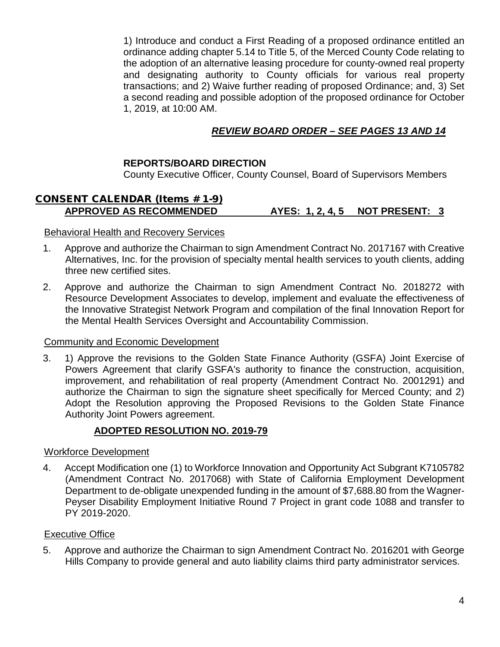1) Introduce and conduct a First Reading of a proposed ordinance entitled an ordinance adding chapter 5.14 to Title 5, of the Merced County Code relating to the adoption of an alternative leasing procedure for county-owned real property and designating authority to County officials for various real property transactions; and 2) Waive further reading of proposed Ordinance; and, 3) Set a second reading and possible adoption of the proposed ordinance for October 1, 2019, at 10:00 AM.

## *REVIEW BOARD ORDER – SEE PAGES 13 AND 14*

## **REPORTS/BOARD DIRECTION**

County Executive Officer, County Counsel, Board of Supervisors Members

# CONSENT CALENDAR (Items # 1-9)

**APPROVED AS RECOMMENDED AYES: 1, 2, 4, 5 NOT PRESENT: 3**

#### Behavioral Health and Recovery Services

- 1. Approve and authorize the Chairman to sign Amendment Contract No. 2017167 with Creative Alternatives, Inc. for the provision of specialty mental health services to youth clients, adding three new certified sites.
- 2. Approve and authorize the Chairman to sign Amendment Contract No. 2018272 with Resource Development Associates to develop, implement and evaluate the effectiveness of the Innovative Strategist Network Program and compilation of the final Innovation Report for the Mental Health Services Oversight and Accountability Commission.

#### Community and Economic Development

3. 1) Approve the revisions to the Golden State Finance Authority (GSFA) Joint Exercise of Powers Agreement that clarify GSFA's authority to finance the construction, acquisition, improvement, and rehabilitation of real property (Amendment Contract No. 2001291) and authorize the Chairman to sign the signature sheet specifically for Merced County; and 2) Adopt the Resolution approving the Proposed Revisions to the Golden State Finance Authority Joint Powers agreement.

## **ADOPTED RESOLUTION NO. 2019-79**

#### Workforce Development

4. Accept Modification one (1) to Workforce Innovation and Opportunity Act Subgrant K7105782 (Amendment Contract No. 2017068) with State of California Employment Development Department to de-obligate unexpended funding in the amount of \$7,688.80 from the Wagner-Peyser Disability Employment Initiative Round 7 Project in grant code 1088 and transfer to PY 2019-2020.

#### Executive Office

5. Approve and authorize the Chairman to sign Amendment Contract No. 2016201 with George Hills Company to provide general and auto liability claims third party administrator services.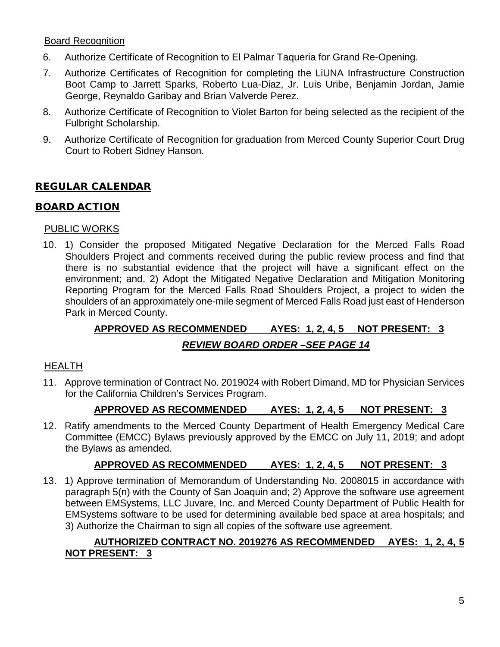## Board Recognition

- 6. Authorize Certificate of Recognition to El Palmar Taqueria for Grand Re-Opening.
- 7. Authorize Certificates of Recognition for completing the LiUNA Infrastructure Construction Boot Camp to Jarrett Sparks, Roberto Lua-Diaz, Jr. Luis Uribe, Benjamin Jordan, Jamie George, Reynaldo Garibay and Brian Valverde Perez.
- 8. Authorize Certificate of Recognition to Violet Barton for being selected as the recipient of the Fulbright Scholarship.
- 9. Authorize Certificate of Recognition for graduation from Merced County Superior Court Drug Court to Robert Sidney Hanson.

## REGULAR CALENDAR

## BOARD ACTION

## PUBLIC WORKS

10. 1) Consider the proposed Mitigated Negative Declaration for the Merced Falls Road Shoulders Project and comments received during the public review process and find that there is no substantial evidence that the project will have a significant effect on the environment; and, 2) Adopt the Mitigated Negative Declaration and Mitigation Monitoring Reporting Program for the Merced Falls Road Shoulders Project, a project to widen the shoulders of an approximately one-mile segment of Merced Falls Road just east of Henderson Park in Merced County.

# **APPROVED AS RECOMMENDED AYES: 1, 2, 4, 5 NOT PRESENT: 3**

## *REVIEW BOARD ORDER –SEE PAGE 14*

## **HEALTH**

11. Approve termination of Contract No. 2019024 with Robert Dimand, MD for Physician Services for the California Children's Services Program.

## **APPROVED AS RECOMMENDED AYES: 1, 2, 4, 5 NOT PRESENT: 3**

12. Ratify amendments to the Merced County Department of Health Emergency Medical Care Committee (EMCC) Bylaws previously approved by the EMCC on July 11, 2019; and adopt the Bylaws as amended.

## **APPROVED AS RECOMMENDED AYES: 1, 2, 4, 5 NOT PRESENT: 3**

13. 1) Approve termination of Memorandum of Understanding No. 2008015 in accordance with paragraph 5(n) with the County of San Joaquin and; 2) Approve the software use agreement between EMSystems, LLC Juvare, Inc. and Merced County Department of Public Health for EMSystems software to be used for determining available bed space at area hospitals; and 3) Authorize the Chairman to sign all copies of the software use agreement.

## **AUTHORIZED CONTRACT NO. 2019276 AS RECOMMENDED AYES: 1, 2, 4, 5 NOT PRESENT: 3**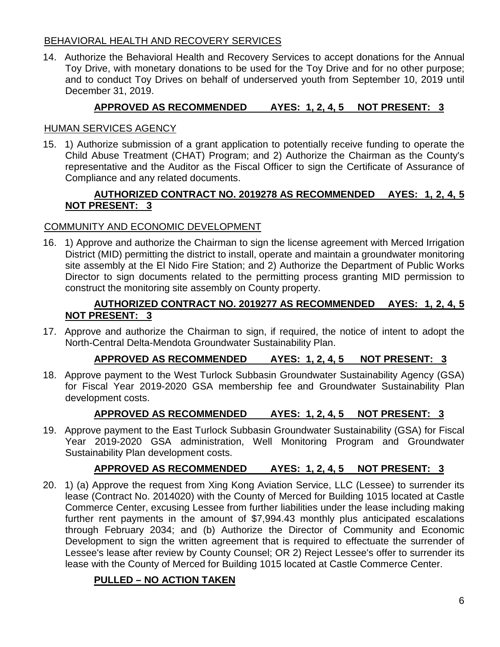## BEHAVIORAL HEALTH AND RECOVERY SERVICES

14. Authorize the Behavioral Health and Recovery Services to accept donations for the Annual Toy Drive, with monetary donations to be used for the Toy Drive and for no other purpose; and to conduct Toy Drives on behalf of underserved youth from September 10, 2019 until December 31, 2019.

## **APPROVED AS RECOMMENDED AYES: 1, 2, 4, 5 NOT PRESENT: 3**

#### HUMAN SERVICES AGENCY

15. 1) Authorize submission of a grant application to potentially receive funding to operate the Child Abuse Treatment (CHAT) Program; and 2) Authorize the Chairman as the County's representative and the Auditor as the Fiscal Officer to sign the Certificate of Assurance of Compliance and any related documents.

#### **AUTHORIZED CONTRACT NO. 2019278 AS RECOMMENDED AYES: 1, 2, 4, 5 NOT PRESENT: 3**

#### COMMUNITY AND ECONOMIC DEVELOPMENT

16. 1) Approve and authorize the Chairman to sign the license agreement with Merced Irrigation District (MID) permitting the district to install, operate and maintain a groundwater monitoring site assembly at the El Nido Fire Station; and 2) Authorize the Department of Public Works Director to sign documents related to the permitting process granting MID permission to construct the monitoring site assembly on County property.

## **AUTHORIZED CONTRACT NO. 2019277 AS RECOMMENDED AYES: 1, 2, 4, 5 NOT PRESENT: 3**

17. Approve and authorize the Chairman to sign, if required, the notice of intent to adopt the North-Central Delta-Mendota Groundwater Sustainability Plan.

## **APPROVED AS RECOMMENDED AYES: 1, 2, 4, 5 NOT PRESENT: 3**

18. Approve payment to the West Turlock Subbasin Groundwater Sustainability Agency (GSA) for Fiscal Year 2019-2020 GSA membership fee and Groundwater Sustainability Plan development costs.

## **APPROVED AS RECOMMENDED AYES: 1, 2, 4, 5 NOT PRESENT: 3**

19. Approve payment to the East Turlock Subbasin Groundwater Sustainability (GSA) for Fiscal Year 2019-2020 GSA administration, Well Monitoring Program and Groundwater Sustainability Plan development costs.

## **APPROVED AS RECOMMENDED AYES: 1, 2, 4, 5 NOT PRESENT: 3**

20. 1) (a) Approve the request from Xing Kong Aviation Service, LLC (Lessee) to surrender its lease (Contract No. 2014020) with the County of Merced for Building 1015 located at Castle Commerce Center, excusing Lessee from further liabilities under the lease including making further rent payments in the amount of \$7,994.43 monthly plus anticipated escalations through February 2034; and (b) Authorize the Director of Community and Economic Development to sign the written agreement that is required to effectuate the surrender of Lessee's lease after review by County Counsel; OR 2) Reject Lessee's offer to surrender its lease with the County of Merced for Building 1015 located at Castle Commerce Center.

## **PULLED – NO ACTION TAKEN**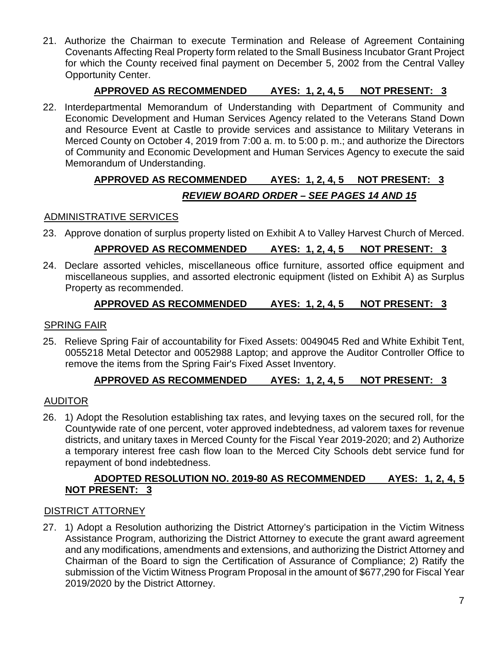21. Authorize the Chairman to execute Termination and Release of Agreement Containing Covenants Affecting Real Property form related to the Small Business Incubator Grant Project for which the County received final payment on December 5, 2002 from the Central Valley Opportunity Center.

## **APPROVED AS RECOMMENDED AYES: 1, 2, 4, 5 NOT PRESENT: 3**

22. Interdepartmental Memorandum of Understanding with Department of Community and Economic Development and Human Services Agency related to the Veterans Stand Down and Resource Event at Castle to provide services and assistance to Military Veterans in Merced County on October 4, 2019 from 7:00 a. m. to 5:00 p. m.; and authorize the Directors of Community and Economic Development and Human Services Agency to execute the said Memorandum of Understanding.

# **APPROVED AS RECOMMENDED AYES: 1, 2, 4, 5 NOT PRESENT: 3** *REVIEW BOARD ORDER – SEE PAGES 14 AND 15*

## ADMINISTRATIVE SERVICES

23. Approve donation of surplus property listed on Exhibit A to Valley Harvest Church of Merced.

# **APPROVED AS RECOMMENDED AYES: 1, 2, 4, 5 NOT PRESENT: 3**

24. Declare assorted vehicles, miscellaneous office furniture, assorted office equipment and miscellaneous supplies, and assorted electronic equipment (listed on Exhibit A) as Surplus Property as recommended.

## **APPROVED AS RECOMMENDED AYES: 1, 2, 4, 5 NOT PRESENT: 3**

## SPRING FAIR

25. Relieve Spring Fair of accountability for Fixed Assets: 0049045 Red and White Exhibit Tent, 0055218 Metal Detector and 0052988 Laptop; and approve the Auditor Controller Office to remove the items from the Spring Fair's Fixed Asset Inventory.

## **APPROVED AS RECOMMENDED AYES: 1, 2, 4, 5 NOT PRESENT: 3**

## AUDITOR

26. 1) Adopt the Resolution establishing tax rates, and levying taxes on the secured roll, for the Countywide rate of one percent, voter approved indebtedness, ad valorem taxes for revenue districts, and unitary taxes in Merced County for the Fiscal Year 2019-2020; and 2) Authorize a temporary interest free cash flow loan to the Merced City Schools debt service fund for repayment of bond indebtedness.

## **ADOPTED RESOLUTION NO. 2019-80 AS RECOMMENDED AYES: 1, 2, 4, 5 NOT PRESENT: 3**

## DISTRICT ATTORNEY

27. 1) Adopt a Resolution authorizing the District Attorney's participation in the Victim Witness Assistance Program, authorizing the District Attorney to execute the grant award agreement and any modifications, amendments and extensions, and authorizing the District Attorney and Chairman of the Board to sign the Certification of Assurance of Compliance; 2) Ratify the submission of the Victim Witness Program Proposal in the amount of \$677,290 for Fiscal Year 2019/2020 by the District Attorney.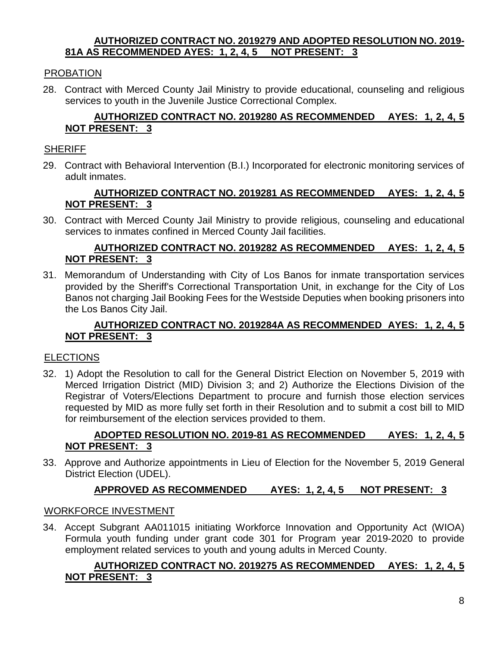#### **AUTHORIZED CONTRACT NO. 2019279 AND ADOPTED RESOLUTION NO. 2019- 81A AS RECOMMENDED AYES: 1, 2, 4, 5 NOT PRESENT: 3**

## PROBATION

28. Contract with Merced County Jail Ministry to provide educational, counseling and religious services to youth in the Juvenile Justice Correctional Complex.

## **AUTHORIZED CONTRACT NO. 2019280 AS RECOMMENDED AYES: 1, 2, 4, 5 NOT PRESENT: 3**

## **SHERIFF**

29. Contract with Behavioral Intervention (B.I.) Incorporated for electronic monitoring services of adult inmates.

## **AUTHORIZED CONTRACT NO. 2019281 AS RECOMMENDED AYES: 1, 2, 4, 5 NOT PRESENT: 3**

30. Contract with Merced County Jail Ministry to provide religious, counseling and educational services to inmates confined in Merced County Jail facilities.

## **AUTHORIZED CONTRACT NO. 2019282 AS RECOMMENDED AYES: 1, 2, 4, 5 NOT PRESENT: 3**

31. Memorandum of Understanding with City of Los Banos for inmate transportation services provided by the Sheriff's Correctional Transportation Unit, in exchange for the City of Los Banos not charging Jail Booking Fees for the Westside Deputies when booking prisoners into the Los Banos City Jail.

## **AUTHORIZED CONTRACT NO. 2019284A AS RECOMMENDED AYES: 1, 2, 4, 5 NOT PRESENT: 3**

## **ELECTIONS**

32. 1) Adopt the Resolution to call for the General District Election on November 5, 2019 with Merced Irrigation District (MID) Division 3; and 2) Authorize the Elections Division of the Registrar of Voters/Elections Department to procure and furnish those election services requested by MID as more fully set forth in their Resolution and to submit a cost bill to MID for reimbursement of the election services provided to them.

## **ADOPTED RESOLUTION NO. 2019-81 AS RECOMMENDED AYES: 1, 2, 4, 5 NOT PRESENT: 3**

33. Approve and Authorize appointments in Lieu of Election for the November 5, 2019 General District Election (UDEL).

## **APPROVED AS RECOMMENDED AYES: 1, 2, 4, 5 NOT PRESENT: 3**

## WORKFORCE INVESTMENT

34. Accept Subgrant AA011015 initiating Workforce Innovation and Opportunity Act (WIOA) Formula youth funding under grant code 301 for Program year 2019-2020 to provide employment related services to youth and young adults in Merced County.

## **AUTHORIZED CONTRACT NO. 2019275 AS RECOMMENDED AYES: 1, 2, 4, 5 NOT PRESENT: 3**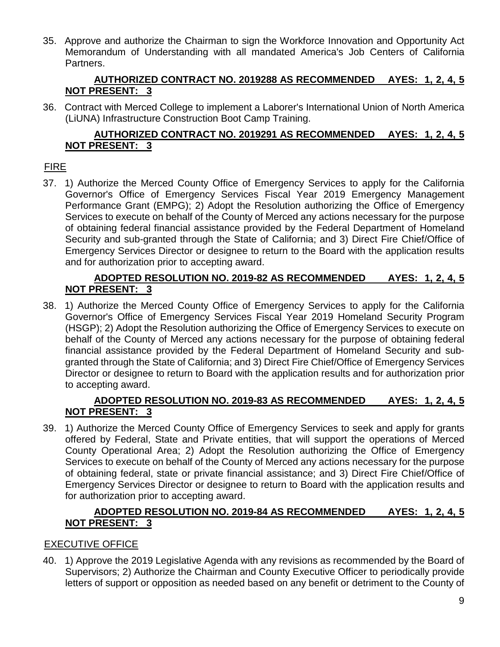35. Approve and authorize the Chairman to sign the Workforce Innovation and Opportunity Act Memorandum of Understanding with all mandated America's Job Centers of California Partners.

## **AUTHORIZED CONTRACT NO. 2019288 AS RECOMMENDED AYES: 1, 2, 4, 5 NOT PRESENT: 3**

36. Contract with Merced College to implement a Laborer's International Union of North America (LiUNA) Infrastructure Construction Boot Camp Training.

## **AUTHORIZED CONTRACT NO. 2019291 AS RECOMMENDED AYES: 1, 2, 4, 5 NOT PRESENT: 3**

# FIRE

37. 1) Authorize the Merced County Office of Emergency Services to apply for the California Governor's Office of Emergency Services Fiscal Year 2019 Emergency Management Performance Grant (EMPG); 2) Adopt the Resolution authorizing the Office of Emergency Services to execute on behalf of the County of Merced any actions necessary for the purpose of obtaining federal financial assistance provided by the Federal Department of Homeland Security and sub-granted through the State of California; and 3) Direct Fire Chief/Office of Emergency Services Director or designee to return to the Board with the application results and for authorization prior to accepting award.

## **ADOPTED RESOLUTION NO. 2019-82 AS RECOMMENDED AYES: 1, 2, 4, 5 NOT PRESENT: 3**

38. 1) Authorize the Merced County Office of Emergency Services to apply for the California Governor's Office of Emergency Services Fiscal Year 2019 Homeland Security Program (HSGP); 2) Adopt the Resolution authorizing the Office of Emergency Services to execute on behalf of the County of Merced any actions necessary for the purpose of obtaining federal financial assistance provided by the Federal Department of Homeland Security and subgranted through the State of California; and 3) Direct Fire Chief/Office of Emergency Services Director or designee to return to Board with the application results and for authorization prior to accepting award.

## **ADOPTED RESOLUTION NO. 2019-83 AS RECOMMENDED AYES: 1, 2, 4, 5 NOT PRESENT: 3**

39. 1) Authorize the Merced County Office of Emergency Services to seek and apply for grants offered by Federal, State and Private entities, that will support the operations of Merced County Operational Area; 2) Adopt the Resolution authorizing the Office of Emergency Services to execute on behalf of the County of Merced any actions necessary for the purpose of obtaining federal, state or private financial assistance; and 3) Direct Fire Chief/Office of Emergency Services Director or designee to return to Board with the application results and for authorization prior to accepting award.

# **ADOPTED RESOLUTION NO. 2019-84 AS RECOMMENDED AYES: 1, 2, 4, 5 NOT PRESENT: 3**

## EXECUTIVE OFFICE

40. 1) Approve the 2019 Legislative Agenda with any revisions as recommended by the Board of Supervisors; 2) Authorize the Chairman and County Executive Officer to periodically provide letters of support or opposition as needed based on any benefit or detriment to the County of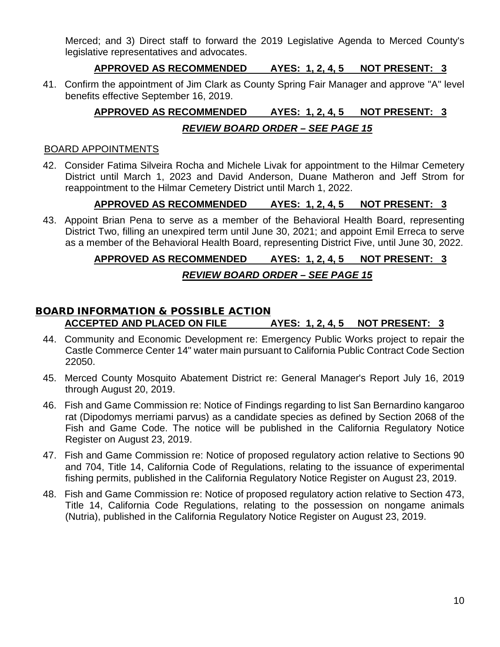Merced; and 3) Direct staff to forward the 2019 Legislative Agenda to Merced County's legislative representatives and advocates.

## **APPROVED AS RECOMMENDED AYES: 1, 2, 4, 5 NOT PRESENT: 3**

41. Confirm the appointment of Jim Clark as County Spring Fair Manager and approve "A" level benefits effective September 16, 2019.

# **APPROVED AS RECOMMENDED AYES: 1, 2, 4, 5 NOT PRESENT: 3** *REVIEW BOARD ORDER – SEE PAGE 15*

#### BOARD APPOINTMENTS

42. Consider Fatima Silveira Rocha and Michele Livak for appointment to the Hilmar Cemetery District until March 1, 2023 and David Anderson, Duane Matheron and Jeff Strom for reappointment to the Hilmar Cemetery District until March 1, 2022.

#### **APPROVED AS RECOMMENDED AYES: 1, 2, 4, 5 NOT PRESENT: 3**

43. Appoint Brian Pena to serve as a member of the Behavioral Health Board, representing District Two, filling an unexpired term until June 30, 2021; and appoint Emil Erreca to serve as a member of the Behavioral Health Board, representing District Five, until June 30, 2022.

## **APPROVED AS RECOMMENDED AYES: 1, 2, 4, 5 NOT PRESENT: 3**

## *REVIEW BOARD ORDER – SEE PAGE 15*

## BOARD INFORMATION & POSSIBLE ACTION **ACCEPTED AND PLACED ON FILE AYES: 1, 2, 4, 5 NOT PRESENT: 3**

- 44. Community and Economic Development re: Emergency Public Works project to repair the Castle Commerce Center 14" water main pursuant to California Public Contract Code Section 22050.
- 45. Merced County Mosquito Abatement District re: General Manager's Report July 16, 2019 through August 20, 2019.
- 46. Fish and Game Commission re: Notice of Findings regarding to list San Bernardino kangaroo rat (Dipodomys merriami parvus) as a candidate species as defined by Section 2068 of the Fish and Game Code. The notice will be published in the California Regulatory Notice Register on August 23, 2019.
- 47. Fish and Game Commission re: Notice of proposed regulatory action relative to Sections 90 and 704, Title 14, California Code of Regulations, relating to the issuance of experimental fishing permits, published in the California Regulatory Notice Register on August 23, 2019.
- 48. Fish and Game Commission re: Notice of proposed regulatory action relative to Section 473, Title 14, California Code Regulations, relating to the possession on nongame animals (Nutria), published in the California Regulatory Notice Register on August 23, 2019.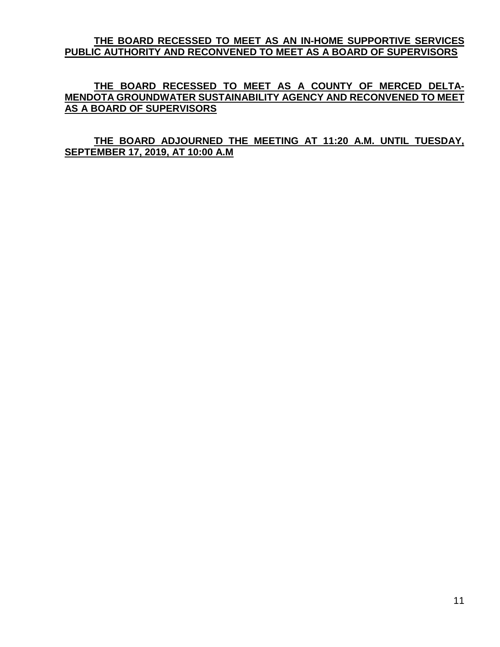#### **THE BOARD RECESSED TO MEET AS AN IN-HOME SUPPORTIVE SERVICES PUBLIC AUTHORITY AND RECONVENED TO MEET AS A BOARD OF SUPERVISORS**

**THE BOARD RECESSED TO MEET AS A COUNTY OF MERCED DELTA-MENDOTA GROUNDWATER SUSTAINABILITY AGENCY AND RECONVENED TO MEET AS A BOARD OF SUPERVISORS**

**THE BOARD ADJOURNED THE MEETING AT 11:20 A.M. UNTIL TUESDAY, SEPTEMBER 17, 2019, AT 10:00 A.M**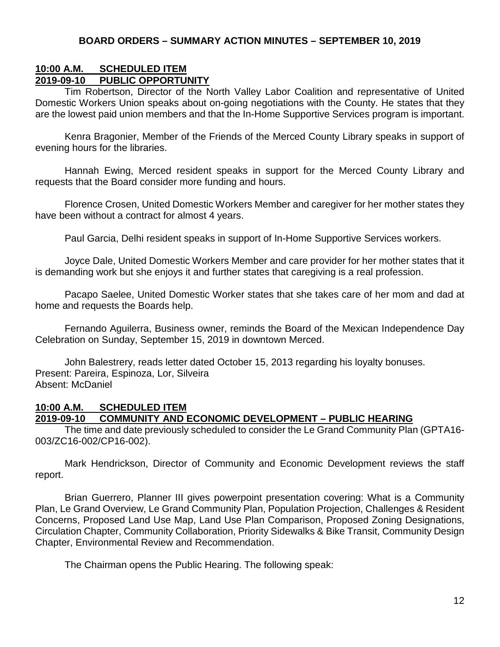#### **BOARD ORDERS – SUMMARY ACTION MINUTES – SEPTEMBER 10, 2019**

#### **10:00 A.M. SCHEDULED ITEM 2019-09-10 PUBLIC OPPORTUNITY**

Tim Robertson, Director of the North Valley Labor Coalition and representative of United Domestic Workers Union speaks about on-going negotiations with the County. He states that they are the lowest paid union members and that the In-Home Supportive Services program is important.

Kenra Bragonier, Member of the Friends of the Merced County Library speaks in support of evening hours for the libraries.

Hannah Ewing, Merced resident speaks in support for the Merced County Library and requests that the Board consider more funding and hours.

Florence Crosen, United Domestic Workers Member and caregiver for her mother states they have been without a contract for almost 4 years.

Paul Garcia, Delhi resident speaks in support of In-Home Supportive Services workers.

Joyce Dale, United Domestic Workers Member and care provider for her mother states that it is demanding work but she enjoys it and further states that caregiving is a real profession.

Pacapo Saelee, United Domestic Worker states that she takes care of her mom and dad at home and requests the Boards help.

Fernando Aguilerra, Business owner, reminds the Board of the Mexican Independence Day Celebration on Sunday, September 15, 2019 in downtown Merced.

John Balestrery, reads letter dated October 15, 2013 regarding his loyalty bonuses. Present: Pareira, Espinoza, Lor, Silveira Absent: McDaniel

# **10:00 A.M. SCHEDULED ITEM**

## **2019-09-10 COMMUNITY AND ECONOMIC DEVELOPMENT – PUBLIC HEARING**

The time and date previously scheduled to consider the Le Grand Community Plan (GPTA16- 003/ZC16-002/CP16-002).

Mark Hendrickson, Director of Community and Economic Development reviews the staff report.

Brian Guerrero, Planner III gives powerpoint presentation covering: What is a Community Plan, Le Grand Overview, Le Grand Community Plan, Population Projection, Challenges & Resident Concerns, Proposed Land Use Map, Land Use Plan Comparison, Proposed Zoning Designations, Circulation Chapter, Community Collaboration, Priority Sidewalks & Bike Transit, Community Design Chapter, Environmental Review and Recommendation.

The Chairman opens the Public Hearing. The following speak: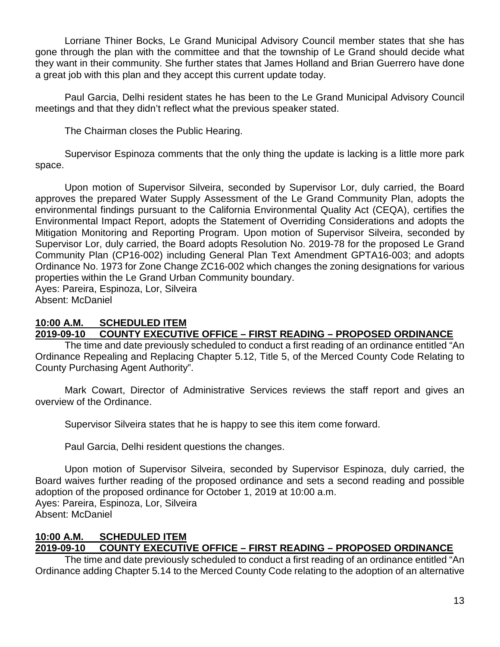Lorriane Thiner Bocks, Le Grand Municipal Advisory Council member states that she has gone through the plan with the committee and that the township of Le Grand should decide what they want in their community. She further states that James Holland and Brian Guerrero have done a great job with this plan and they accept this current update today.

Paul Garcia, Delhi resident states he has been to the Le Grand Municipal Advisory Council meetings and that they didn't reflect what the previous speaker stated.

The Chairman closes the Public Hearing.

Supervisor Espinoza comments that the only thing the update is lacking is a little more park space.

Upon motion of Supervisor Silveira, seconded by Supervisor Lor, duly carried, the Board approves the prepared Water Supply Assessment of the Le Grand Community Plan, adopts the environmental findings pursuant to the California Environmental Quality Act (CEQA), certifies the Environmental Impact Report, adopts the Statement of Overriding Considerations and adopts the Mitigation Monitoring and Reporting Program. Upon motion of Supervisor Silveira, seconded by Supervisor Lor, duly carried, the Board adopts Resolution No. 2019-78 for the proposed Le Grand Community Plan (CP16-002) including General Plan Text Amendment GPTA16-003; and adopts Ordinance No. 1973 for Zone Change ZC16-002 which changes the zoning designations for various properties within the Le Grand Urban Community boundary. Ayes: Pareira, Espinoza, Lor, Silveira

Absent: McDaniel

## **10:00 A.M. SCHEDULED ITEM**

## **2019-09-10 COUNTY EXECUTIVE OFFICE – FIRST READING – PROPOSED ORDINANCE**

The time and date previously scheduled to conduct a first reading of an ordinance entitled "An Ordinance Repealing and Replacing Chapter 5.12, Title 5, of the Merced County Code Relating to County Purchasing Agent Authority".

Mark Cowart, Director of Administrative Services reviews the staff report and gives an overview of the Ordinance.

Supervisor Silveira states that he is happy to see this item come forward.

Paul Garcia, Delhi resident questions the changes.

Upon motion of Supervisor Silveira, seconded by Supervisor Espinoza, duly carried, the Board waives further reading of the proposed ordinance and sets a second reading and possible adoption of the proposed ordinance for October 1, 2019 at 10:00 a.m. Ayes: Pareira, Espinoza, Lor, Silveira Absent: McDaniel

# **10:00 A.M. SCHEDULED ITEM**

# **2019-09-10 COUNTY EXECUTIVE OFFICE – FIRST READING – PROPOSED ORDINANCE**

The time and date previously scheduled to conduct a first reading of an ordinance entitled "An Ordinance adding Chapter 5.14 to the Merced County Code relating to the adoption of an alternative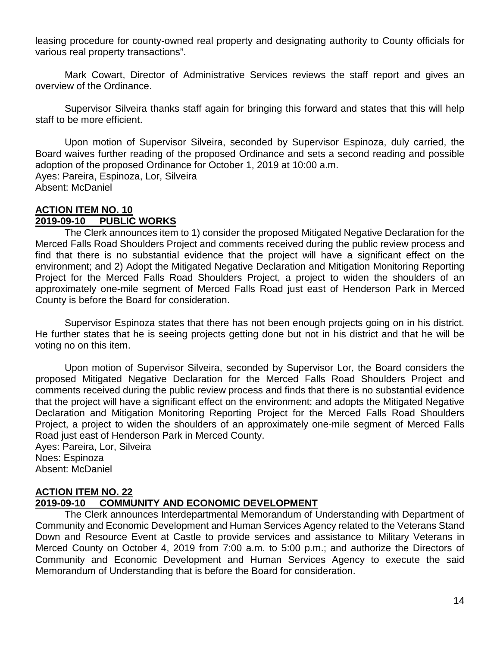leasing procedure for county-owned real property and designating authority to County officials for various real property transactions".

Mark Cowart, Director of Administrative Services reviews the staff report and gives an overview of the Ordinance.

Supervisor Silveira thanks staff again for bringing this forward and states that this will help staff to be more efficient.

Upon motion of Supervisor Silveira, seconded by Supervisor Espinoza, duly carried, the Board waives further reading of the proposed Ordinance and sets a second reading and possible adoption of the proposed Ordinance for October 1, 2019 at 10:00 a.m. Ayes: Pareira, Espinoza, Lor, Silveira Absent: McDaniel

#### **ACTION ITEM NO. 10 2019-09-10 PUBLIC WORKS**

The Clerk announces item to 1) consider the proposed Mitigated Negative Declaration for the Merced Falls Road Shoulders Project and comments received during the public review process and find that there is no substantial evidence that the project will have a significant effect on the environment; and 2) Adopt the Mitigated Negative Declaration and Mitigation Monitoring Reporting Project for the Merced Falls Road Shoulders Project, a project to widen the shoulders of an approximately one-mile segment of Merced Falls Road just east of Henderson Park in Merced County is before the Board for consideration.

Supervisor Espinoza states that there has not been enough projects going on in his district. He further states that he is seeing projects getting done but not in his district and that he will be voting no on this item.

Upon motion of Supervisor Silveira, seconded by Supervisor Lor, the Board considers the proposed Mitigated Negative Declaration for the Merced Falls Road Shoulders Project and comments received during the public review process and finds that there is no substantial evidence that the project will have a significant effect on the environment; and adopts the Mitigated Negative Declaration and Mitigation Monitoring Reporting Project for the Merced Falls Road Shoulders Project, a project to widen the shoulders of an approximately one-mile segment of Merced Falls Road just east of Henderson Park in Merced County.

Ayes: Pareira, Lor, Silveira Noes: Espinoza Absent: McDaniel

## **ACTION ITEM NO. 22**

## **2019-09-10 COMMUNITY AND ECONOMIC DEVELOPMENT**

The Clerk announces Interdepartmental Memorandum of Understanding with Department of Community and Economic Development and Human Services Agency related to the Veterans Stand Down and Resource Event at Castle to provide services and assistance to Military Veterans in Merced County on October 4, 2019 from 7:00 a.m. to 5:00 p.m.; and authorize the Directors of Community and Economic Development and Human Services Agency to execute the said Memorandum of Understanding that is before the Board for consideration.